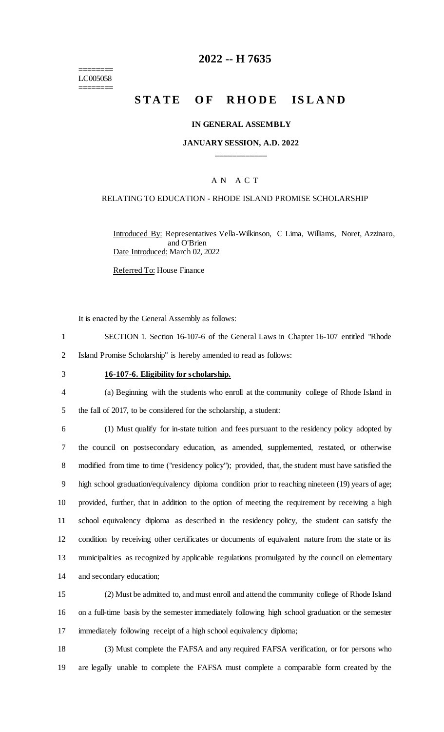======== LC005058 ========

## **2022 -- H 7635**

# **STATE OF RHODE ISLAND**

#### **IN GENERAL ASSEMBLY**

#### **JANUARY SESSION, A.D. 2022 \_\_\_\_\_\_\_\_\_\_\_\_**

### A N A C T

#### RELATING TO EDUCATION - RHODE ISLAND PROMISE SCHOLARSHIP

Introduced By: Representatives Vella-Wilkinson, C Lima, Williams, Noret, Azzinaro, and O'Brien Date Introduced: March 02, 2022

Referred To: House Finance

It is enacted by the General Assembly as follows:

1 SECTION 1. Section 16-107-6 of the General Laws in Chapter 16-107 entitled "Rhode 2 Island Promise Scholarship" is hereby amended to read as follows:

#### 3 **16-107-6. Eligibility for scholarship.**

4 (a) Beginning with the students who enroll at the community college of Rhode Island in 5 the fall of 2017, to be considered for the scholarship, a student:

 (1) Must qualify for in-state tuition and fees pursuant to the residency policy adopted by the council on postsecondary education, as amended, supplemented, restated, or otherwise 8 modified from time to time ("residency policy"); provided, that, the student must have satisfied the high school graduation/equivalency diploma condition prior to reaching nineteen (19) years of age; provided, further, that in addition to the option of meeting the requirement by receiving a high school equivalency diploma as described in the residency policy, the student can satisfy the condition by receiving other certificates or documents of equivalent nature from the state or its municipalities as recognized by applicable regulations promulgated by the council on elementary and secondary education;

15 (2) Must be admitted to, and must enroll and attend the community college of Rhode Island 16 on a full-time basis by the semester immediately following high school graduation or the semester 17 immediately following receipt of a high school equivalency diploma;

18 (3) Must complete the FAFSA and any required FAFSA verification, or for persons who 19 are legally unable to complete the FAFSA must complete a comparable form created by the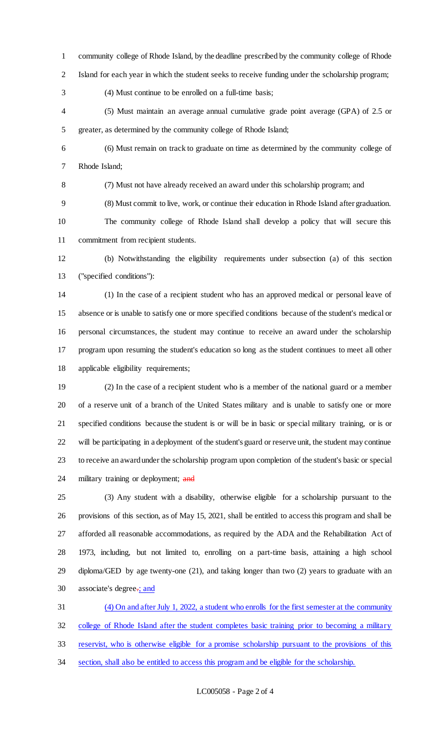community college of Rhode Island, by the deadline prescribed by the community college of Rhode

Island for each year in which the student seeks to receive funding under the scholarship program;

(4) Must continue to be enrolled on a full-time basis;

 (5) Must maintain an average annual cumulative grade point average (GPA) of 2.5 or greater, as determined by the community college of Rhode Island;

 (6) Must remain on track to graduate on time as determined by the community college of Rhode Island;

(7) Must not have already received an award under this scholarship program; and

(8) Must commit to live, work, or continue their education in Rhode Island after graduation.

 The community college of Rhode Island shall develop a policy that will secure this commitment from recipient students.

 (b) Notwithstanding the eligibility requirements under subsection (a) of this section ("specified conditions"):

 (1) In the case of a recipient student who has an approved medical or personal leave of absence or is unable to satisfy one or more specified conditions because of the student's medical or personal circumstances, the student may continue to receive an award under the scholarship program upon resuming the student's education so long as the student continues to meet all other applicable eligibility requirements;

 (2) In the case of a recipient student who is a member of the national guard or a member of a reserve unit of a branch of the United States military and is unable to satisfy one or more specified conditions because the student is or will be in basic or special military training, or is or will be participating in a deployment of the student's guard or reserve unit, the student may continue to receive an award under the scholarship program upon completion of the student's basic or special 24 military training or deployment; and

 (3) Any student with a disability, otherwise eligible for a scholarship pursuant to the provisions of this section, as of May 15, 2021, shall be entitled to access this program and shall be afforded all reasonable accommodations, as required by the ADA and the Rehabilitation Act of 1973, including, but not limited to, enrolling on a part-time basis, attaining a high school diploma/GED by age twenty-one (21), and taking longer than two (2) years to graduate with an associate's degree.; and

 (4) On and after July 1, 2022, a student who enrolls for the first semester at the community college of Rhode Island after the student completes basic training prior to becoming a military reservist, who is otherwise eligible for a promise scholarship pursuant to the provisions of this 34 section, shall also be entitled to access this program and be eligible for the scholarship.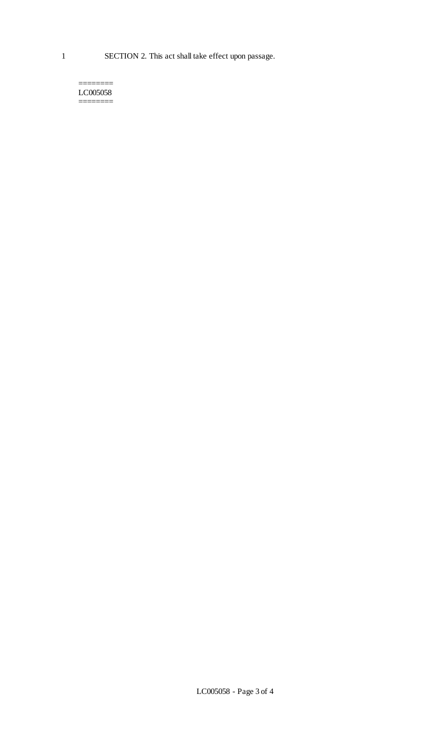======== LC005058 ========